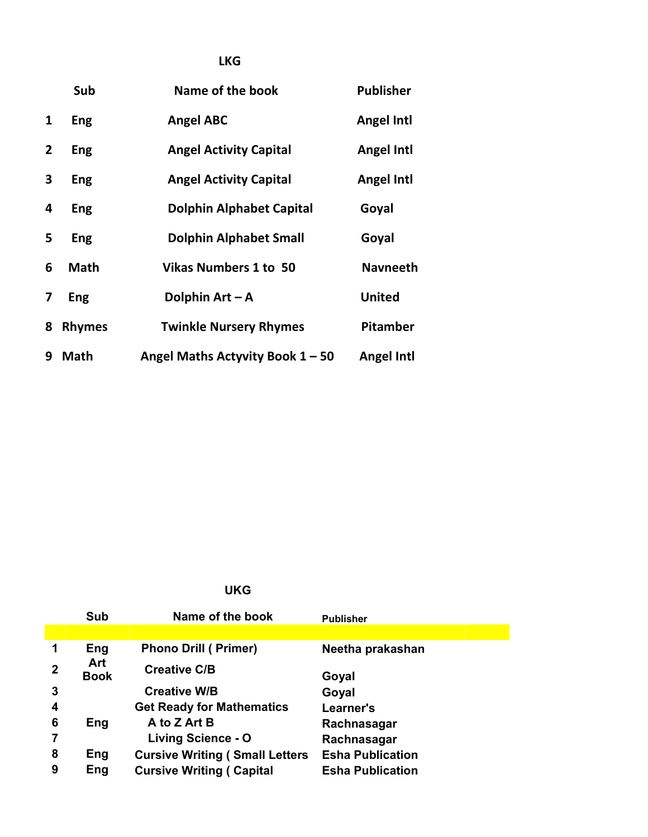|                | Sub           | Name of the book                   | <b>Publisher</b>  |
|----------------|---------------|------------------------------------|-------------------|
| 1              | Eng           | <b>Angel ABC</b>                   | <b>Angel Intl</b> |
| $\overline{2}$ | Eng           | <b>Angel Activity Capital</b>      | <b>Angel Intl</b> |
| 3              | Eng           | <b>Angel Activity Capital</b>      | <b>Angel Intl</b> |
| 4              | Eng           | <b>Dolphin Alphabet Capital</b>    | Goyal             |
| 5              | Eng           | <b>Dolphin Alphabet Small</b>      | Goyal             |
| 6              | <b>Math</b>   | <b>Vikas Numbers 1 to 50</b>       | <b>Navneeth</b>   |
| 7              | Eng           | Dolphin $Art - A$                  | <b>United</b>     |
| 8              | <b>Rhymes</b> | <b>Twinkle Nursery Rhymes</b>      | Pitamber          |
| 9              | <b>Math</b>   | Angel Maths Actyvity Book $1 - 50$ | <b>Angel Intl</b> |

# **UKG**

|                | Sub                | Name of the book                       | <b>Publisher</b>        |
|----------------|--------------------|----------------------------------------|-------------------------|
|                |                    |                                        |                         |
|                | Eng                | <b>Phono Drill (Primer)</b>            | Neetha prakashan        |
| $\overline{2}$ | Art<br><b>Book</b> | <b>Creative C/B</b>                    | Goyal                   |
| 3              |                    | <b>Creative W/B</b>                    | Goyal                   |
| 4              |                    | <b>Get Ready for Mathematics</b>       | Learner's               |
| 6              | Eng                | A to Z Art B                           | Rachnasagar             |
|                |                    | Living Science - O                     | Rachnasagar             |
| 8              | Eng                | <b>Cursive Writing (Small Letters)</b> | <b>Esha Publication</b> |
| 9              | Eng                | <b>Cursive Writing ( Capital</b>       | <b>Esha Publication</b> |

# **LKG**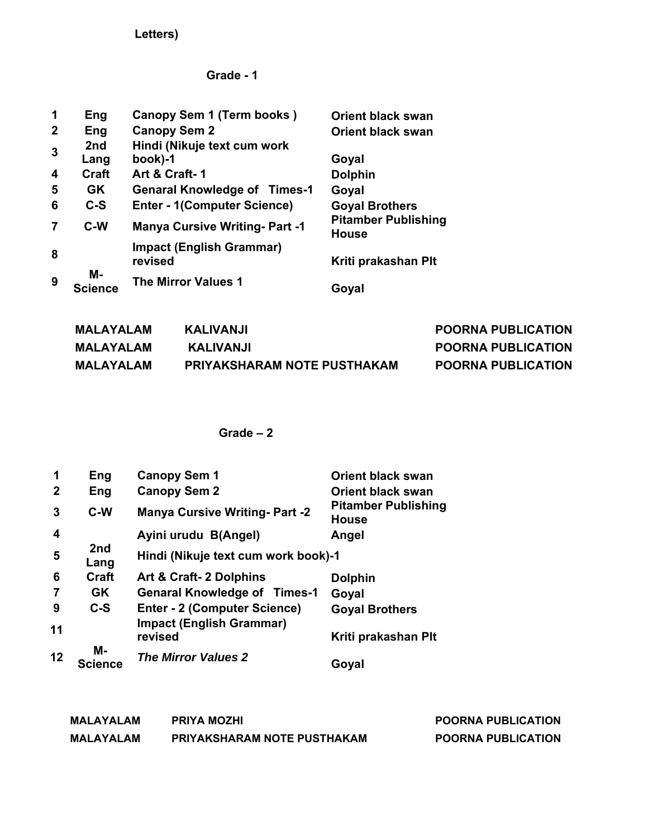**Letters)** 

## **Grade - 1**

| 1            | Eng                  | Canopy Sem 1 (Term books)                  | <b>Orient black swan</b>                   |
|--------------|----------------------|--------------------------------------------|--------------------------------------------|
| $\mathbf{2}$ | Eng                  | <b>Canopy Sem 2</b>                        | <b>Orient black swan</b>                   |
| 3            | 2nd<br>Lang          | Hindi (Nikuje text cum work<br>book)-1     | Goyal                                      |
| 4            | <b>Craft</b>         | Art & Craft-1                              | <b>Dolphin</b>                             |
| 5            | <b>GK</b>            | <b>Genaral Knowledge of Times-1</b>        | Goyal                                      |
| 6            | $C-S$                | <b>Enter - 1(Computer Science)</b>         | <b>Goyal Brothers</b>                      |
| 7            | C-W                  | <b>Manya Cursive Writing- Part -1</b>      | <b>Pitamber Publishing</b><br><b>House</b> |
| 8            |                      | <b>Impact (English Grammar)</b><br>revised | Kriti prakashan Plt                        |
| 9            | М-<br><b>Science</b> | <b>The Mirror Values 1</b>                 | Goyal                                      |

| MALAYALAM | KALIVANJI                          | <b>POORNA PUBLICATION</b> |
|-----------|------------------------------------|---------------------------|
| MALAYALAM | KALIVANJI                          | <b>POORNA PUBLICATION</b> |
| MALAYALAM | <b>PRIYAKSHARAM NOTE PUSTHAKAM</b> | <b>POORNA PUBLICATION</b> |

| 1            | Eng                  | <b>Canopy Sem 1</b>                        | <b>Orient black swan</b>                   |
|--------------|----------------------|--------------------------------------------|--------------------------------------------|
| $\mathbf{2}$ | Eng                  | <b>Canopy Sem 2</b>                        | <b>Orient black swan</b>                   |
| 3            | $C-W$                | <b>Manya Cursive Writing- Part -2</b>      | <b>Pitamber Publishing</b><br><b>House</b> |
| 4            |                      | Ayini urudu B(Angel)                       | Angel                                      |
| 5            | 2nd<br>Lang          | Hindi (Nikuje text cum work book)-1        |                                            |
| 6            | <b>Craft</b>         | Art & Craft- 2 Dolphins                    | <b>Dolphin</b>                             |
|              | <b>GK</b>            | <b>Genaral Knowledge of Times-1</b>        | Goyal                                      |
| 9            | $C-S$                | <b>Enter - 2 (Computer Science)</b>        | <b>Goyal Brothers</b>                      |
| 11           |                      | <b>Impact (English Grammar)</b><br>revised | Kriti prakashan Plt                        |
| 12           | M-<br><b>Science</b> | <b>The Mirror Values 2</b>                 | Goyal                                      |

| <b>MALAYALAM</b> | <b>PRIYA MOZHI</b>                 | <b>POORNA PUBLICATION</b> |
|------------------|------------------------------------|---------------------------|
| <b>MALAYALAM</b> | <b>PRIYAKSHARAM NOTE PUSTHAKAM</b> | <b>POORNA PUBLICATION</b> |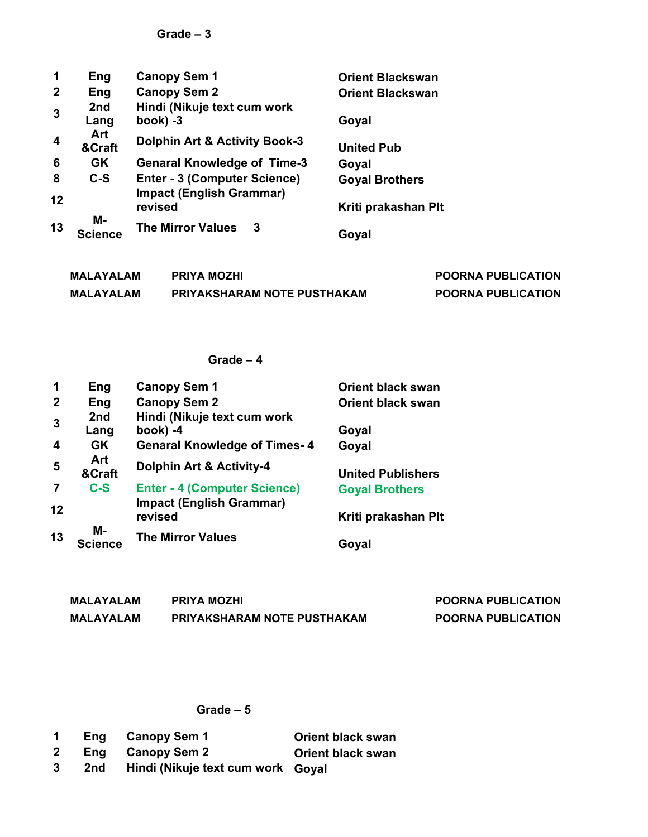| 1                       | Eng           | <b>Canopy Sem 1</b>                        | <b>Orient Blackswan</b> |
|-------------------------|---------------|--------------------------------------------|-------------------------|
| $\mathbf{2}$            | Eng           | <b>Canopy Sem 2</b>                        | <b>Orient Blackswan</b> |
| $\overline{\mathbf{3}}$ | 2nd<br>Lang   | Hindi (Nikuje text cum work<br>$book) -3$  | Goyal                   |
| $\overline{4}$          | Art<br>&Craft | <b>Dolphin Art &amp; Activity Book-3</b>   | <b>United Pub</b>       |
| 6                       | <b>GK</b>     | <b>Genaral Knowledge of Time-3</b>         | Goyal                   |
| 8                       | $C-S$         | <b>Enter - 3 (Computer Science)</b>        | <b>Goyal Brothers</b>   |
| 12                      |               | <b>Impact (English Grammar)</b><br>revised | Kriti prakashan Plt     |
| 13                      | M-<br>Science | <b>The Mirror Values</b><br>-3             | Goyal                   |

| <b>MALAYALAM</b> | <b>PRIYA MOZHI</b>                 | <b>POORNA PUBLICATION</b> |
|------------------|------------------------------------|---------------------------|
| MALAYALAM        | <b>PRIYAKSHARAM NOTE PUSTHAKAM</b> | <b>POORNA PUBLICATION</b> |

## **Grade – 4**

| 1           | Eng                  | <b>Canopy Sem 1</b>                        | <b>Orient black swan</b> |
|-------------|----------------------|--------------------------------------------|--------------------------|
| $\mathbf 2$ | Eng                  | <b>Canopy Sem 2</b>                        | <b>Orient black swan</b> |
| 3           | 2nd                  | Hindi (Nikuje text cum work                |                          |
|             | Lang                 | book) -4                                   | Goyal                    |
| 4           | <b>GK</b>            | <b>Genaral Knowledge of Times-4</b>        | Goyal                    |
| 5           | Art<br>&Craft        | <b>Dolphin Art &amp; Activity-4</b>        | <b>United Publishers</b> |
|             | $C-S$                | <b>Enter - 4 (Computer Science)</b>        | <b>Goyal Brothers</b>    |
| 12          |                      | <b>Impact (English Grammar)</b><br>revised | Kriti prakashan Plt      |
| 13          | M-<br><b>Science</b> | <b>The Mirror Values</b>                   | Goyal                    |

| MALAYALAM | <b>PRIYA MOZHI</b>                 | <b>POORNA PUBLICATION</b> |
|-----------|------------------------------------|---------------------------|
| MALAYALAM | <b>PRIYAKSHARAM NOTE PUSTHAKAM</b> | <b>POORNA PUBLICATION</b> |

| $\mathbf 1$  |     | Eng Canopy Sem 1                  | <b>Orient black swan</b> |
|--------------|-----|-----------------------------------|--------------------------|
| $\mathbf{2}$ |     | Eng Canopy Sem 2                  | <b>Orient black swan</b> |
| -3           | 2nd | Hindi (Nikuje text cum work Goyal |                          |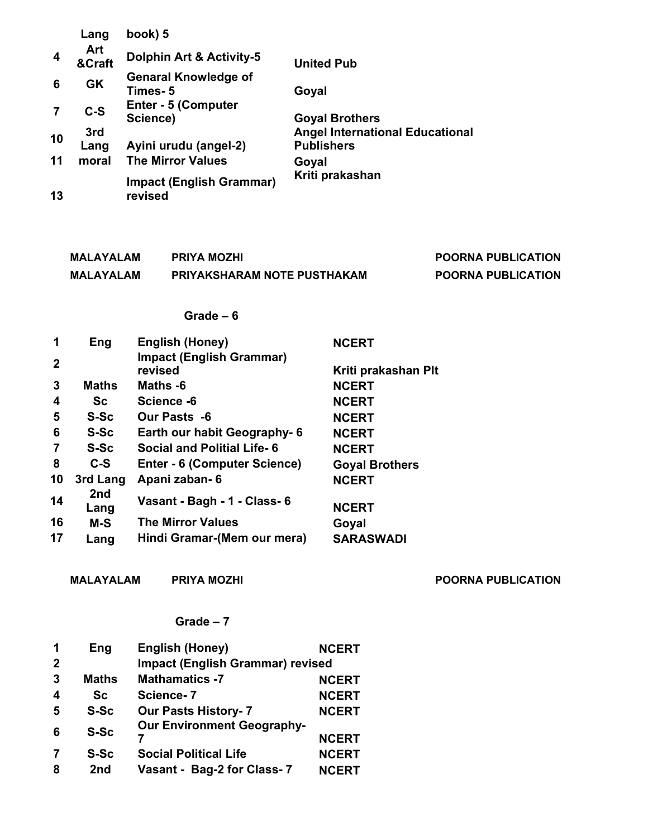|    | Lang          | book) 5                                    |                                                             |
|----|---------------|--------------------------------------------|-------------------------------------------------------------|
| 4  | Art<br>&Craft | <b>Dolphin Art &amp; Activity-5</b>        | <b>United Pub</b>                                           |
| 6  | GK            | <b>Genaral Knowledge of</b><br>Times- 5    | Goyal                                                       |
|    | $C-S$         | <b>Enter - 5 (Computer</b><br>Science)     | <b>Goyal Brothers</b>                                       |
| 10 | 3rd<br>Lang   | Ayini urudu (angel-2)                      | <b>Angel International Educational</b><br><b>Publishers</b> |
| 11 | moral         | <b>The Mirror Values</b>                   | Goyal                                                       |
| 13 |               | <b>Impact (English Grammar)</b><br>revised | Kriti prakashan                                             |

| MALAYALAM        | <b>PRIYA MOZHI</b>                 | <b>POORNA PUBLICATION</b> |
|------------------|------------------------------------|---------------------------|
| <b>MALAYALAM</b> | <b>PRIYAKSHARAM NOTE PUSTHAKAM</b> | <b>POORNA PUBLICATION</b> |

#### **Grade – 6**

| 1            | Eng          | <b>English (Honey)</b>                     | <b>NCERT</b>          |
|--------------|--------------|--------------------------------------------|-----------------------|
| $\mathbf{2}$ |              | <b>Impact (English Grammar)</b><br>revised | Kriti prakashan Plt   |
| 3            | <b>Maths</b> | Maths -6                                   | <b>NCERT</b>          |
| 4            | Sc           | Science -6                                 | <b>NCERT</b>          |
| 5            | S-Sc         | Our Pasts -6                               | <b>NCERT</b>          |
| 6            | S-Sc         | Earth our habit Geography- 6               | <b>NCERT</b>          |
| 7            | S-Sc         | <b>Social and Politial Life-6</b>          | <b>NCERT</b>          |
| 8            | C-S          | Enter - 6 (Computer Science)               | <b>Goyal Brothers</b> |
| 10           | 3rd Lang     | Apani zaban-6                              | <b>NCERT</b>          |
| 14           | 2nd<br>Lang  | Vasant - Bagh - 1 - Class- 6               | <b>NCERT</b>          |
| 16           | $M-S$        | <b>The Mirror Values</b>                   | Goyal                 |
| 17           | Lang         | Hindi Gramar-(Mem our mera)                | <b>SARASWADI</b>      |

MALAYALAM PRIYA MOZHI **POORNA PUBLICATION** 

| 1                | Eng             | <b>English (Honey)</b>                  | <b>NCERT</b> |
|------------------|-----------------|-----------------------------------------|--------------|
| $\mathbf{2}$     |                 | <b>Impact (English Grammar) revised</b> |              |
| $\mathbf{3}$     | <b>Maths</b>    | <b>Mathamatics -7</b>                   | <b>NCERT</b> |
| $\boldsymbol{4}$ | Sc              | Science-7                               | <b>NCERT</b> |
| 5                | S-Sc            | <b>Our Pasts History- 7</b>             | <b>NCERT</b> |
| 6                | S-Sc            | <b>Our Environment Geography-</b>       |              |
|                  |                 |                                         | <b>NCERT</b> |
| 7                | S-Sc            | <b>Social Political Life</b>            | <b>NCERT</b> |
| 8                | 2 <sub>nd</sub> | Vasant - Bag-2 for Class-7              | <b>NCERT</b> |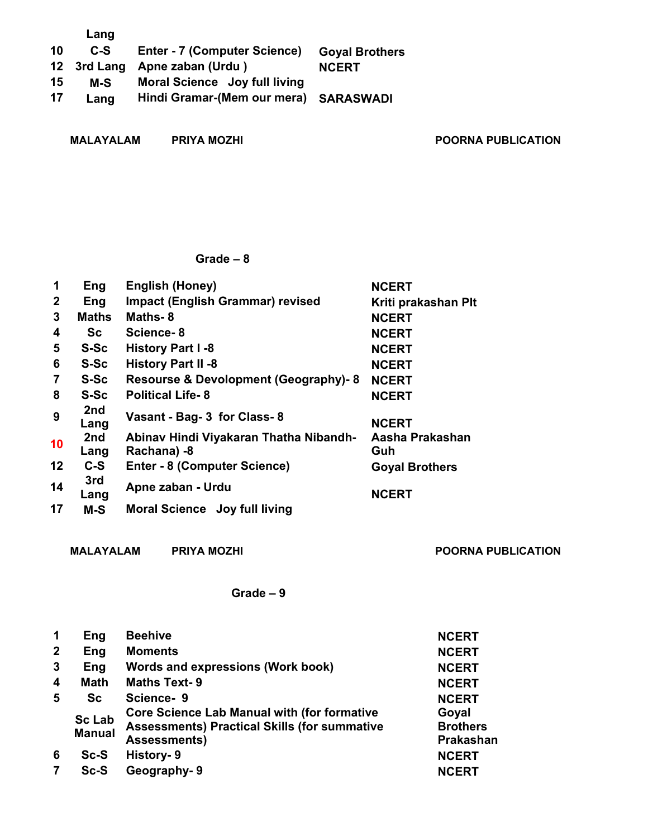|    | Lang |                                       |                       |
|----|------|---------------------------------------|-----------------------|
| 10 | C-S  | <b>Enter - 7 (Computer Science)</b>   | <b>Goyal Brothers</b> |
|    |      | 12 3rd Lang Apne zaban (Urdu)         | <b>NCERT</b>          |
| 15 | M-S  | Moral Science Joy full living         |                       |
| 17 | Lang | Hindi Gramar-(Mem our mera) SARASWADI |                       |
|    |      |                                       |                       |

MALAYALAM PRIYA MOZHI **POORNA PUBLICATION** 

#### **Grade – 8**

| 1            | Eng          | English (Honey)                                       | <b>NCERT</b>           |
|--------------|--------------|-------------------------------------------------------|------------------------|
| $\mathbf{2}$ | Eng          | <b>Impact (English Grammar) revised</b>               | Kriti prakashan Plt    |
| 3            | <b>Maths</b> | Maths-8                                               | <b>NCERT</b>           |
| 4            | Sc           | Science-8                                             | <b>NCERT</b>           |
| 5            | <b>S-Sc</b>  | History Part I -8                                     | <b>NCERT</b>           |
| 6            | S-Sc         | <b>History Part II -8</b>                             | <b>NCERT</b>           |
| 7            | <b>S-Sc</b>  | <b>Resourse &amp; Devolopment (Geography)-8</b>       | <b>NCERT</b>           |
| 8            | S-Sc         | <b>Political Life-8</b>                               | <b>NCERT</b>           |
| 9            | 2nd<br>Lang  | Vasant - Bag- 3 for Class- 8                          | <b>NCERT</b>           |
| 10           | 2nd<br>Lang  | Abinav Hindi Viyakaran Thatha Nibandh-<br>Rachana) -8 | Aasha Prakashan<br>Guh |
| 12           | $C-S$        | <b>Enter - 8 (Computer Science)</b>                   | <b>Goyal Brothers</b>  |
| 14           | 3rd<br>Lang  | Apne zaban - Urdu                                     | <b>NCERT</b>           |
| 17           | $M-S$        | Moral Science Joy full living                         |                        |

MALAYALAM PRIYA MOZHI POORNA PUBLICATION

| $\mathbf 1$      | Eng                            | <b>Beehive</b>                                                                                                                   | <b>NCERT</b>                          |
|------------------|--------------------------------|----------------------------------------------------------------------------------------------------------------------------------|---------------------------------------|
| $\overline{2}$   | Eng                            | <b>Moments</b>                                                                                                                   | <b>NCERT</b>                          |
| 3                | Eng                            | Words and expressions (Work book)                                                                                                | <b>NCERT</b>                          |
| $\boldsymbol{4}$ | <b>Math</b>                    | <b>Maths Text-9</b>                                                                                                              | <b>NCERT</b>                          |
| 5                | Sc                             | Science-9                                                                                                                        | <b>NCERT</b>                          |
|                  | <b>Sc Lab</b><br><b>Manual</b> | <b>Core Science Lab Manual with (for formative</b><br><b>Assessments) Practical Skills (for summative</b><br><b>Assessments)</b> | Goyal<br><b>Brothers</b><br>Prakashan |
| 6                | Sc-S                           | History-9                                                                                                                        | <b>NCERT</b>                          |
|                  | Sc-S                           | Geography-9                                                                                                                      | <b>NCERT</b>                          |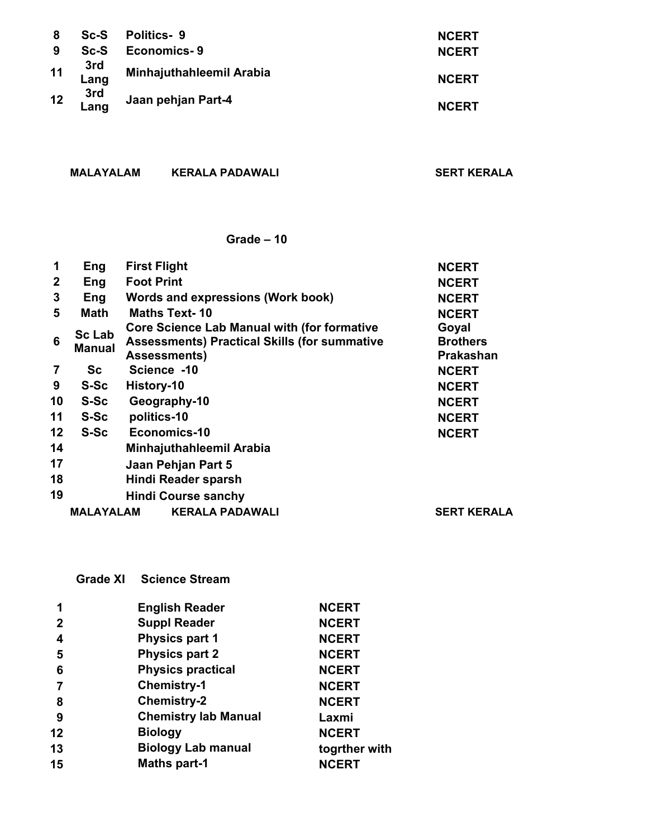| 8  | $Sc-S$         | <b>Politics-9</b>        | <b>NCERT</b> |
|----|----------------|--------------------------|--------------|
| 9  | Sc-S           | <b>Economics-9</b>       | <b>NCERT</b> |
|    | 11 3rd<br>Lang | Minhajuthahleemil Arabia | <b>NCERT</b> |
| 12 | 3rd<br>Lang    | Jaan pehjan Part-4       | <b>NCERT</b> |

**MALAYALAM KERALA PADAWALI SERT KERALA** 

#### **Grade – 10**

| 1               | Eng                            | <b>First Flight</b>                                                                                                              | <b>NCERT</b>                          |
|-----------------|--------------------------------|----------------------------------------------------------------------------------------------------------------------------------|---------------------------------------|
| $\mathbf{2}$    | Eng                            | <b>Foot Print</b>                                                                                                                | <b>NCERT</b>                          |
| 3               | Eng                            | Words and expressions (Work book)                                                                                                | <b>NCERT</b>                          |
| 5               | <b>Math</b>                    | <b>Maths Text-10</b>                                                                                                             | <b>NCERT</b>                          |
| 6               | <b>Sc Lab</b><br><b>Manual</b> | <b>Core Science Lab Manual with (for formative</b><br><b>Assessments) Practical Skills (for summative</b><br><b>Assessments)</b> | Goyal<br><b>Brothers</b><br>Prakashan |
| 7               | Sc                             | Science -10                                                                                                                      | <b>NCERT</b>                          |
| 9               | <b>S-Sc</b>                    | History-10                                                                                                                       | <b>NCERT</b>                          |
| 10              | <b>S-Sc</b>                    | Geography-10                                                                                                                     | <b>NCERT</b>                          |
| 11              | S-Sc                           | politics-10                                                                                                                      | <b>NCERT</b>                          |
| 12 <sub>2</sub> | S-Sc                           | Economics-10                                                                                                                     | <b>NCERT</b>                          |
| 14              |                                | Minhajuthahleemil Arabia                                                                                                         |                                       |
| 17              |                                | Jaan Pehjan Part 5                                                                                                               |                                       |
| 18              |                                | Hindi Reader sparsh                                                                                                              |                                       |
| 19              |                                | <b>Hindi Course sanchy</b>                                                                                                       |                                       |
|                 | <b>MALAYALAM</b>               | <b>KERALA PADAWALI</b>                                                                                                           | <b>SERT KERALA</b>                    |

**Grade XI Science Stream** 

| 1            | <b>English Reader</b>       | <b>NCERT</b>  |  |
|--------------|-----------------------------|---------------|--|
| $\mathbf{2}$ | <b>Suppl Reader</b>         | <b>NCERT</b>  |  |
| 4            | <b>Physics part 1</b>       | <b>NCERT</b>  |  |
| 5            | <b>Physics part 2</b>       | <b>NCERT</b>  |  |
| 6            | <b>Physics practical</b>    | <b>NCERT</b>  |  |
|              | <b>Chemistry-1</b>          | <b>NCERT</b>  |  |
| 8            | <b>Chemistry-2</b>          | <b>NCERT</b>  |  |
| 9            | <b>Chemistry lab Manual</b> | Laxmi         |  |
| 12           | <b>Biology</b>              | <b>NCERT</b>  |  |
| 13           | <b>Biology Lab manual</b>   | togrther with |  |
| 15           | <b>Maths part-1</b>         | <b>NCERT</b>  |  |
|              |                             |               |  |